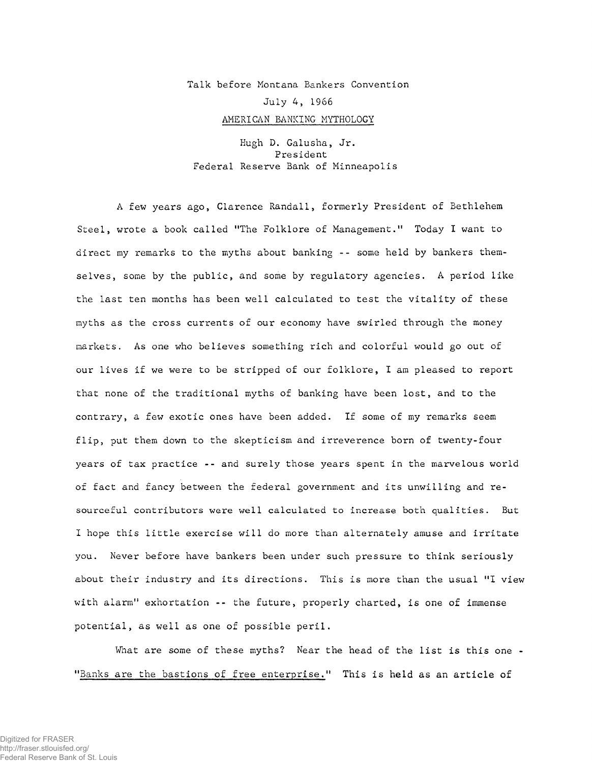## Talk before Montana Bankers Convention July 4, 1966 AMERICAN BANKING MYTHOLOGY

Hugh D. Galusha, Jr. President Federal Reserve Bank of Minneapolis

A few years ago, Clarence Randall, formerly President of Bethlehem Steel, wrote a book called "The Folklore of Management." Today I want to direct my remarks to the myths about banking -- some held by bankers themselves, some by the public, and some by regulatory agencies. A period like the last ten months has been well calculated to test the vitality of these myths as the cross currents of our economy have swirled through the money markets. As one who believes something rich and colorful would go out of our lives if we were to be stripped of our folklore, I am pleased to report that none of the traditional myths of banking have been lost, and to the contrary, a few exotic ones have been added. If some of my remarks seem flip, put them down to the skepticism and irreverence born of twenty-four years of tax practice -- and surely those years spent in the marvelous world of fact and fancy between the federal government and its unwilling and resourceful contributors were well calculated to increase both qualities. But I hope this little exercise will do more than alternately amuse and irritate you. Never before have bankers been under such pressure to think seriously about their industry and its directions. This is more than the usual "I view with alarm" exhortation -- the future, properly charted, is one of immense potential, as well as one of possible peril.

What are some of these myths? Near the head of the list is this one - "Banks are the bastions of free enterprise." This is held as an article of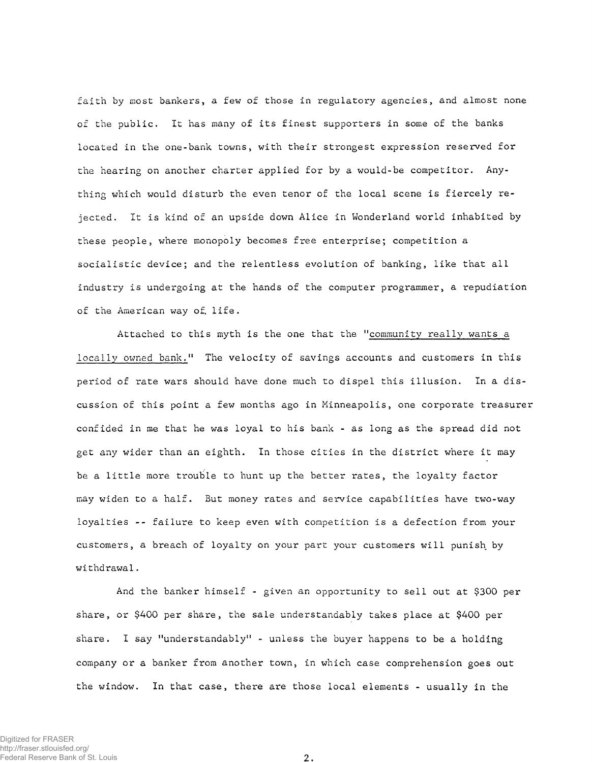faith by most bankers, a few of those in regulatory agencies, and almost none of the public. It has many of its finest supporters in some of the banks located in the one-bank towns, with their strongest expression reserved for the hearing on another charter applied for by a would-be competitor. Anything which would disturb the even tenor of the local scene is fiercely rejected. It is kind of an upside down Alice in Wonderland world inhabited by these people, where monopoly becomes free enterprise; competition a socialistic device; and the relentless evolution of banking, like that all industry is undergoing at the hands of the computer programmer, a repudiation of the American way of. life.

Attached to this myth is the one that the "community really wants a locally owned bank." The velocity of savings accounts and customers in this period of rate wars should have done much to dispel this illusion. In a discussion of this point a few months ago in Minneapolis, one corporate treasurer confided in me that he was loyal to his bank - as long as the spread did not get any wider than an eighth. In those cities in the district where it may be a little more trouble to hunt up the better rates, the loyalty factor may widen to a half. But money rates and service capabilities have two-way loyalties -- failure to keep even with competition is a defection from your customers, a breach of loyalty on your part your customers will punish by withdrawal.

And the banker himself - given an opportunity to sell out at \$300 per share, or \$400 per share, the sale understandably takes place at \$400 per share. I say "understandably" - unless the buyer happens to be a holding company or a banker from another town, in which case comprehension goes out the window. In that case, there are those local elements - usually in the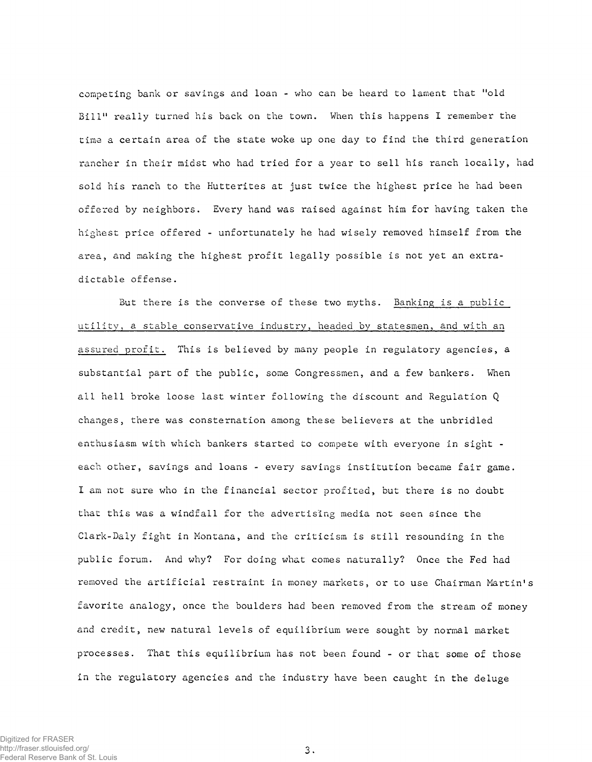competing bank or savings and loan - who can be heard to lament that "old Bill" really turned his back on the town. When this happens I remember the time a certain area of the state woke up one day to find the third generation rancher in their midst who had tried for a year to sell his ranch locally, had sold his ranch to the Hutterites at just twice the highest price he had been offered by neighbors. Every hand was raised against him for having taken the highest price offered - unfortunately he had wisely removed himself from the area, and making the highest profit legally possible is not yet an extradictable offense.

But there is the converse of these two myths. Banking is a public utility, a stable conservative industry, headed by statesmen, and with an assured profit. This is believed by many people in regulatory agencies, a substantial part of the public, some Congressmen, and a few bankers. When all hell broke loose last winter following the discount and Regulation Q changes, there was consternation among these believers at the unbridled enthusiasm with which bankers started to compete with everyone in sight each other, savings and loans - every savings institution became fair game. I am not sure who in the financial sector profited, but there is no doubt that this was a windfall for the advertising media not seen since the Clark-Daly fight in Montana, and the criticism is still resounding in the public forum. And why? For doing what comes naturally? Once the Fed had removed the artificial restraint in money markets, or to use Chairman Martin's favorite analogy, once the boulders had been removed from the stream of money and credit, new natural levels of equilibrium were sought by normal market processes. That this equilibrium has not been found - or that some of those in the regulatory agencies and the industry have been caught in the deluge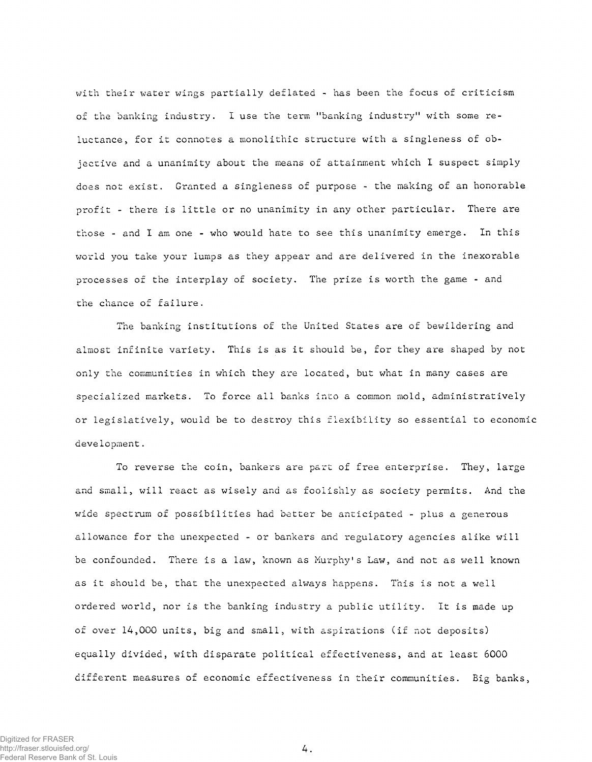with their water wings partially deflated - has been the focus of criticism of the banking industry. I use the term "banking industry" with some reluctance, for it connotes a monolithic structure with a singleness of objective and a unanimity about the means of attainment which I suspect simply does not exist. Granted a singleness of purpose - the making of an honorable profit - there is little or no unanimity in any other particular. There are those - and I am one - who would hate to see this unanimity emerge. In this world you take your lumps as they appear and are delivered in the inexorable processes of the interplay of society. The prize is worth the game - and the chance of failure.

The banking institutions of the United States are of bewildering and almost infinite variety. This is as it should be, for they are shaped by not only the communities in which they are located, but what in many cases are specialized markets. To force all banks into a common mold, administratively or legislatively, would be to destroy this flexibility so essential to economic development.

To reverse the coin, bankers are part of free enterprise. They, large and small, will react as wisely and as foolishly as society permits. And the wide spectrum of possibilities had better be anticipated - plus a generous allowance for the unexpected - or bankers and regulatory agencies alike will be confounded. There is a law, known as Murphy's Law, and not as well known as it should be, that the unexpected always happens. This is not a well ordered world, nor is the banking industry a public utility. It is made up of over 14,000 units, big and small, with aspirations (if not deposits) equally divided, with disparate political effectiveness, and at least 6000 different measures of economic effectiveness in their communities. Big banks,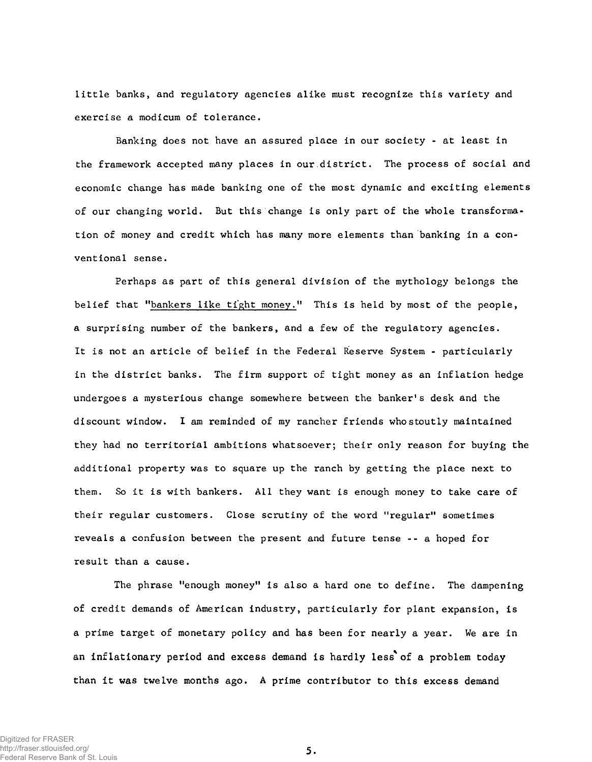little banks, and regulatory agencies alike must recognize this variety and exercise a modicum of tolerance.

Banking does not have an assured place in our society - at least in the framework accepted many places in our district. The process of social and economic change has made banking one of the most dynamic and exciting elements of our changing world. But this change is only part of the whole transformation of money and credit which has many more elements than banking in a conventional sense.

Perhaps as part of this general division of the mythology belongs the belief that "bankers like tight money." This is held by most of the people, a surprising number of the bankers, and a few of the regulatory agencies. It is not an article of belief in the Federal Reserve System - particularly in the district banks. The firm support of tight money as an inflation hedge undergoes a mysterious change somewhere between the banker's desk and the discount window. I am reminded of my rancher friends who stoutly maintained they had no territorial ambitions whatsoever; their only reason for buying the additional property was to square up the ranch by getting the place next to them. So it is with bankers. All they want is enough money to take care of their regular customers. Close scrutiny of the word "regular" sometimes reveals a confusion between the present and future tense - - a hoped for result than a cause.

The phrase "enough money" is also a hard one to define. The dampening of credit demands of American industry, particularly for plant expansion, is a prime target of monetary policy and has been for nearly a year. We are in an inflationary period and excess demand is hardly less of a problem today than it was twelve months ago. A prime contributor to this excess demand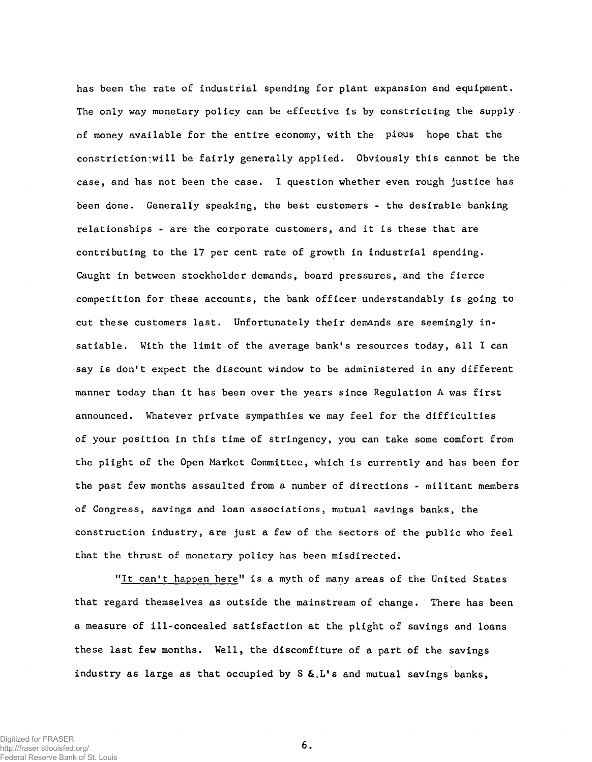has been the rate of industrial spending for plant expansion and equipment. The only way monetary policy can be effective is by constricting the supply. of money available for the entire economy, with the pious hope that the constriction:will be fairly generally applied. Obviously this cannot be the case, and has not been the case. I question whether even rough justice has been done. Generally speaking, the best customers - the desirable banking relationships - are the corporate customers, and it is these that are contributing to the 17 per cent rate of growth in industrial spending. Caught in between stockholder demands, board pressures, and the fierce competition for these accounts, the bank officer understandably is going to cut these customers last. Unfortunately their demands are seemingly insatiable. With the limit of the average bank's resources today, all I can say is don't expect the discount window to be administered in any different manner today than it has been over the years since Regulation A was first announced. Whatever private sympathies we may feel for the difficulties of your position in this time of stringency, you can take some comfort from the plight of the Open Market Committee, which is currently and has been for the past few months assaulted from a number of directions - militant members of Congress, savings and loan associations, mutual savings banks, the construction industry, are just a few of the sectors of the public who feel that the thrust of monetary policy has been misdirected.

"It can't happen here" is a myth of many areas of the United States that regard themselves as outside the mainstream of change. There has been a measure of ill-concealed satisfaction at the plight of savings and loans these last few months. Well, the discomfiture of a part of the savings industry as large as that occupied by  $S \& L's$  and mutual savings banks,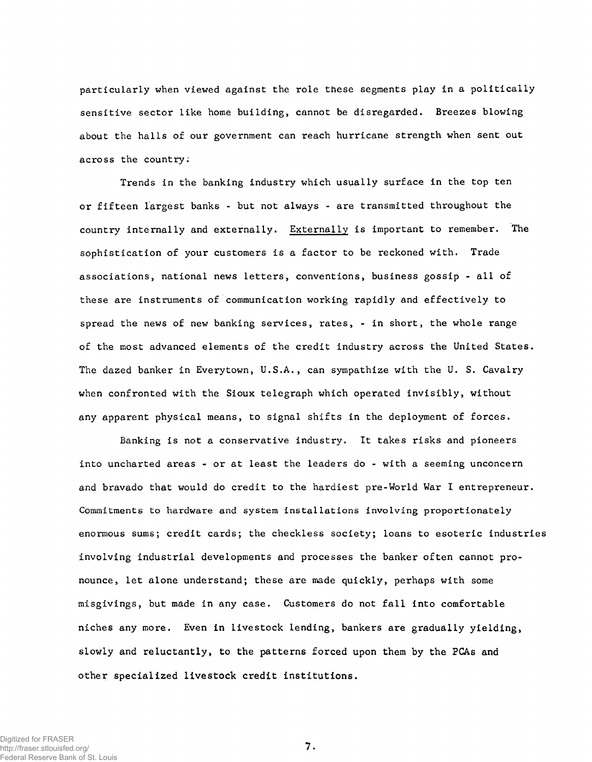particularly when viewed against the role these segments play in a politically sensitive sector like home building, cannot be disregarded. Breezes blowing about the halls of our government can reach hurricane strength when sent out across the country;

Trends in the banking industry which usually surface in the top ten or fifteen largest banks - but not always - are transmitted throughout the country internally and externally. Externally is important to remember. The sophistication of your customers is a factor to be reckoned with. Trade associations, national news letters, conventions, business gossip - all of these are instruments of communication working rapidly and effectively to spread the news of new banking services, rates, - in short, the whole range of the most advanced elements of the credit industry across the United States. The dazed banker in Everytown, U.S.A., can sympathize with the U. S. Cavalry when confronted with the Sioux telegraph which operated invisibly, without any apparent physical means, to signal shifts in the deployment of forces.

Banking is not a conservative industry. It takes risks and pioneers into uncharted areas - or at least the leaders do - with a seeming unconcern and bravado that would do credit to the hardiest pre-World War I entrepreneur. Commitments to hardware and system installations involving proportionately enormous sums; credit cards; the checkless society; loans to esoteric industries involving industrial developments and processes the banker often cannot pronounce, let alone understand; these are made quickly, perhaps with some misgivings, but made in any case. Customers do not fall into comfortable niches any more. Even in livestock lending, bankers are gradually yielding, slowly and reluctantly, to the patterns forced upon them by the PCAs and other specialized livestock credit institutions.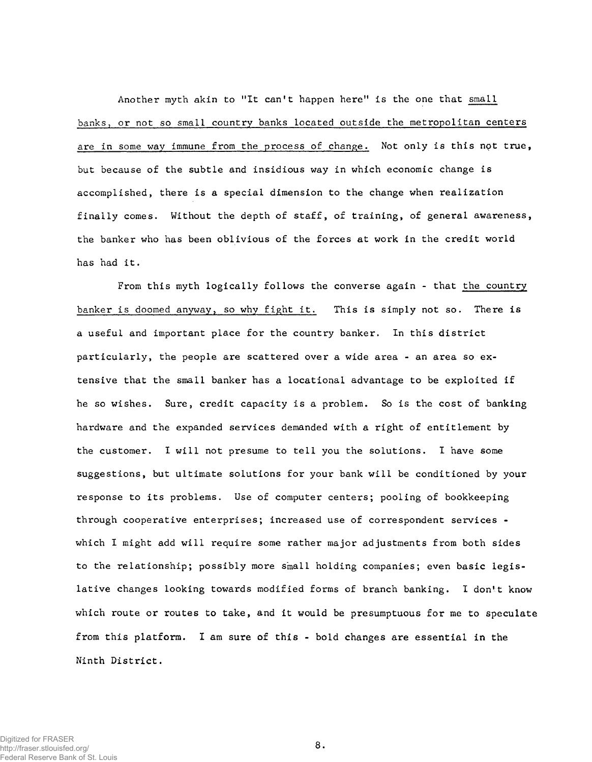Another myth akin to "It can't happen here" is the one that small banks, or not so small country banks located outside the metropolitan centers are in some way immune from the process of change. Not only is this npt true, but because of the subtle and insidious way in which economic change is accomplished, there is a special dimension to the change when realization finally comes. Without the depth of staff, of training, of general awareness, the banker who has been oblivious of the forces at work in the credit world has had it.

From this myth logically follows the converse again - that the country banker is doomed anyway, so why fight it. This is simply not so. There is a useful and important place for the country banker. In this district particularly, the people are scattered over a wide area - an area so extensive that the small banker has a locational advantage to be exploited if he so wishes. Sure, credit capacity is a problem. So is the cost of banking hardware and the expanded services demanded with a right of entitlement by the customer. I will not presume to tell you the solutions. I have some suggestions, but ultimate solutions for your bank will be conditioned by your response to its problems. Use of computer centers; pooling of bookkeeping through cooperative enterprises; increased use of correspondent services which I might add will require some rather major adjustments from both sides to the relationship; possibly more small holding companies; even basic legislative changes looking towards modified forms of branch banking. I don't know which route or routes to take, and it would be presumptuous for me to speculate from this platform. I am sure of this - bold changes are essential in the Ninth District.